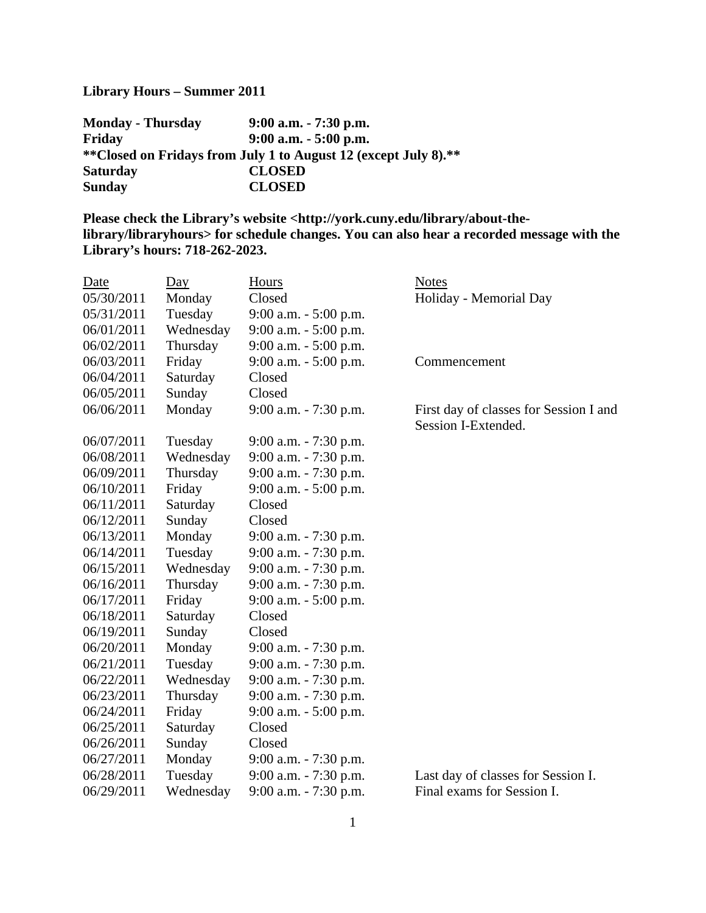## **Library Hours – Summer 2011**

| <b>Monday - Thursday</b> | $9:00$ a.m. $-7:30$ p.m.                                        |
|--------------------------|-----------------------------------------------------------------|
| Friday                   | $9:00$ a.m. $-5:00$ p.m.                                        |
|                          | **Closed on Fridays from July 1 to August 12 (except July 8).** |
| <b>Saturday</b>          | <b>CLOSED</b>                                                   |
| <b>Sunday</b>            | <b>CLOSED</b>                                                   |

**Please check the Library's website <http://york.cuny.edu/library/about-thelibrary/libraryhours> for schedule changes. You can also hear a recorded message with the Library's hours: 718-262-2023.**

| Date       | $\overline{Day}$ | Hours                    | <b>Notes</b>                                                  |
|------------|------------------|--------------------------|---------------------------------------------------------------|
| 05/30/2011 | Monday           | Closed                   | Holiday - Memorial Day                                        |
| 05/31/2011 | Tuesday          | 9:00 a.m. - 5:00 p.m.    |                                                               |
| 06/01/2011 | Wednesday        | $9:00$ a.m. $-5:00$ p.m. |                                                               |
| 06/02/2011 | Thursday         | $9:00$ a.m. $-5:00$ p.m. |                                                               |
| 06/03/2011 | Friday           | $9:00$ a.m. $-5:00$ p.m. | Commencement                                                  |
| 06/04/2011 | Saturday         | Closed                   |                                                               |
| 06/05/2011 | Sunday           | Closed                   |                                                               |
| 06/06/2011 | Monday           | 9:00 a.m. - 7:30 p.m.    | First day of classes for Session I and<br>Session I-Extended. |
| 06/07/2011 | Tuesday          | $9:00$ a.m. $-7:30$ p.m. |                                                               |
| 06/08/2011 | Wednesday        | 9:00 a.m. - 7:30 p.m.    |                                                               |
| 06/09/2011 | Thursday         | 9:00 a.m. - 7:30 p.m.    |                                                               |
| 06/10/2011 | Friday           | $9:00$ a.m. $-5:00$ p.m. |                                                               |
| 06/11/2011 | Saturday         | Closed                   |                                                               |
| 06/12/2011 | Sunday           | Closed                   |                                                               |
| 06/13/2011 | Monday           | $9:00$ a.m. $-7:30$ p.m. |                                                               |
| 06/14/2011 | Tuesday          | 9:00 a.m. - 7:30 p.m.    |                                                               |
| 06/15/2011 | Wednesday        | 9:00 a.m. - 7:30 p.m.    |                                                               |
| 06/16/2011 | Thursday         | 9:00 a.m. - 7:30 p.m.    |                                                               |
| 06/17/2011 | Friday           | 9:00 a.m. - 5:00 p.m.    |                                                               |
| 06/18/2011 | Saturday         | Closed                   |                                                               |
| 06/19/2011 | Sunday           | Closed                   |                                                               |
| 06/20/2011 | Monday           | 9:00 a.m. - 7:30 p.m.    |                                                               |
| 06/21/2011 | Tuesday          | $9:00$ a.m. $-7:30$ p.m. |                                                               |
| 06/22/2011 | Wednesday        | 9:00 a.m. - 7:30 p.m.    |                                                               |
| 06/23/2011 | Thursday         | 9:00 a.m. - 7:30 p.m.    |                                                               |
| 06/24/2011 | Friday           | $9:00$ a.m. $-5:00$ p.m. |                                                               |
| 06/25/2011 | Saturday         | Closed                   |                                                               |
| 06/26/2011 | Sunday           | Closed                   |                                                               |
| 06/27/2011 | Monday           | $9:00$ a.m. $-7:30$ p.m. |                                                               |
| 06/28/2011 | Tuesday          | 9:00 a.m. - 7:30 p.m.    | Last day of classes for Session I.                            |
| 06/29/2011 | Wednesday        | 9:00 a.m. - 7:30 p.m.    | Final exams for Session I.                                    |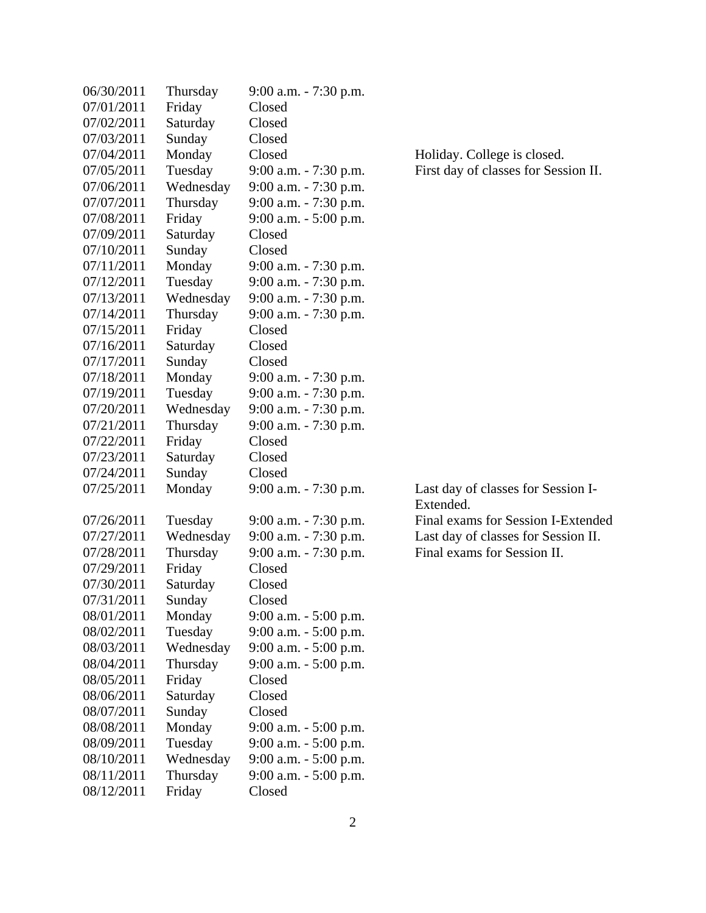| 06/30/2011 | Thursday  | $9:00$ a.m. $-7:30$ p.m. |                                      |
|------------|-----------|--------------------------|--------------------------------------|
| 07/01/2011 | Friday    | Closed                   |                                      |
| 07/02/2011 | Saturday  | Closed                   |                                      |
| 07/03/2011 | Sunday    | Closed                   |                                      |
| 07/04/2011 | Monday    | Closed                   | Holiday. College is closed.          |
| 07/05/2011 | Tuesday   | 9:00 a.m. - 7:30 p.m.    | First day of classes for Session II. |
| 07/06/2011 | Wednesday | 9:00 a.m. - 7:30 p.m.    |                                      |
| 07/07/2011 | Thursday  | 9:00 a.m. - 7:30 p.m.    |                                      |
| 07/08/2011 | Friday    | $9:00$ a.m. $-5:00$ p.m. |                                      |
| 07/09/2011 | Saturday  | Closed                   |                                      |
| 07/10/2011 | Sunday    | Closed                   |                                      |
| 07/11/2011 | Monday    | 9:00 a.m. - 7:30 p.m.    |                                      |
| 07/12/2011 | Tuesday   | 9:00 a.m. - 7:30 p.m.    |                                      |
| 07/13/2011 | Wednesday | 9:00 a.m. - 7:30 p.m.    |                                      |
| 07/14/2011 | Thursday  | $9:00$ a.m. $-7:30$ p.m. |                                      |
| 07/15/2011 | Friday    | Closed                   |                                      |
| 07/16/2011 | Saturday  | Closed                   |                                      |
| 07/17/2011 | Sunday    | Closed                   |                                      |
| 07/18/2011 | Monday    | 9:00 a.m. - 7:30 p.m.    |                                      |
| 07/19/2011 | Tuesday   | 9:00 a.m. - 7:30 p.m.    |                                      |
| 07/20/2011 | Wednesday | 9:00 a.m. - 7:30 p.m.    |                                      |
| 07/21/2011 | Thursday  | 9:00 a.m. - 7:30 p.m.    |                                      |
| 07/22/2011 | Friday    | Closed                   |                                      |
| 07/23/2011 | Saturday  | Closed                   |                                      |
| 07/24/2011 | Sunday    | Closed                   |                                      |
| 07/25/2011 | Monday    | 9:00 a.m. - 7:30 p.m.    | Last day of classes for Session I-   |
|            |           |                          | Extended.                            |
| 07/26/2011 | Tuesday   | $9:00$ a.m. $-7:30$ p.m. | Final exams for Session I-Extended   |
| 07/27/2011 | Wednesday | $9:00$ a.m. $-7:30$ p.m. | Last day of classes for Session II.  |
| 07/28/2011 | Thursday  | 9:00 a.m. - 7:30 p.m.    | Final exams for Session II.          |
| 07/29/2011 | Friday    | Closed                   |                                      |
| 07/30/2011 | Saturday  | Closed                   |                                      |
| 07/31/2011 | Sunday    | Closed                   |                                      |
| 08/01/2011 | Monday    | $9:00$ a.m. $-5:00$ p.m. |                                      |
| 08/02/2011 | Tuesday   | $9:00$ a.m. $-5:00$ p.m. |                                      |
| 08/03/2011 | Wednesday | $9:00$ a.m. $-5:00$ p.m. |                                      |
| 08/04/2011 | Thursday  | 9:00 a.m. - 5:00 p.m.    |                                      |
| 08/05/2011 | Friday    | Closed                   |                                      |
| 08/06/2011 | Saturday  | Closed                   |                                      |
| 08/07/2011 | Sunday    | Closed                   |                                      |
| 08/08/2011 | Monday    | 9:00 a.m. - 5:00 p.m.    |                                      |
| 08/09/2011 | Tuesday   | $9:00$ a.m. $-5:00$ p.m. |                                      |
| 08/10/2011 | Wednesday | $9:00$ a.m. $-5:00$ p.m. |                                      |
| 08/11/2011 | Thursday  | 9:00 a.m. - 5:00 p.m.    |                                      |
| 08/12/2011 | Friday    | Closed                   |                                      |